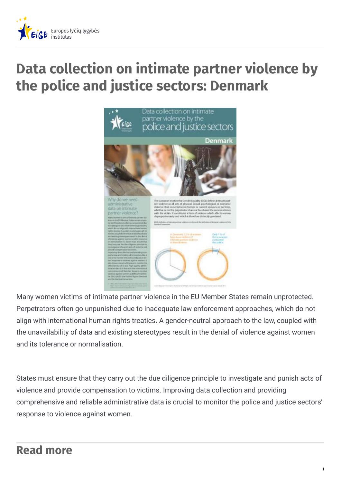

## **Data collection on intimate partner violence by the police and justice sectors: Denmark**



Many women victims of intimate partner violence in the EU Member States remain unprotected. Perpetrators often go unpunished due to inadequate law enforcement approaches, which do not align with international human rights treaties. A gender-neutral approach to the law, coupled with the unavailability of data and existing stereotypes result in the denial of violence against women and its tolerance or normalisation.

States must ensure that they carry out the due diligence principle to investigate and punish acts of violence and provide compensation to victims. Improving data collection and providing comprehensive and reliable administrative data is crucial to monitor the police and justice sectors' response to violence against women.